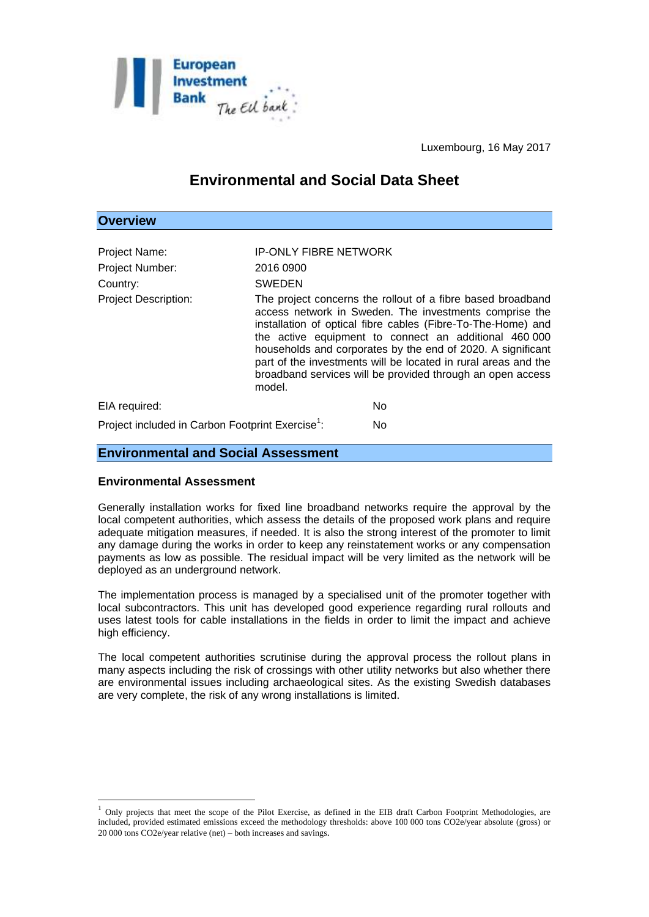

Luxembourg, 16 May 2017

# **Environmental and Social Data Sheet**

#### **Overview**

| Project Name:                                                | <b>IP-ONLY FIBRE NETWORK</b> |                                                                                                                                                                                                                                                                                                                                                                                                                                               |
|--------------------------------------------------------------|------------------------------|-----------------------------------------------------------------------------------------------------------------------------------------------------------------------------------------------------------------------------------------------------------------------------------------------------------------------------------------------------------------------------------------------------------------------------------------------|
| Project Number:                                              | 2016 0900                    |                                                                                                                                                                                                                                                                                                                                                                                                                                               |
| Country:                                                     | <b>SWEDEN</b>                |                                                                                                                                                                                                                                                                                                                                                                                                                                               |
| <b>Project Description:</b>                                  | model.                       | The project concerns the rollout of a fibre based broadband<br>access network in Sweden. The investments comprise the<br>installation of optical fibre cables (Fibre-To-The-Home) and<br>the active equipment to connect an additional 460 000<br>households and corporates by the end of 2020. A significant<br>part of the investments will be located in rural areas and the<br>broadband services will be provided through an open access |
| EIA required:                                                |                              | <b>No</b>                                                                                                                                                                                                                                                                                                                                                                                                                                     |
| Project included in Carbon Footprint Exercise <sup>1</sup> : |                              | No.                                                                                                                                                                                                                                                                                                                                                                                                                                           |

### **Environmental and Social Assessment**

## **Environmental Assessment**

<u>.</u>

Generally installation works for fixed line broadband networks require the approval by the local competent authorities, which assess the details of the proposed work plans and require adequate mitigation measures, if needed. It is also the strong interest of the promoter to limit any damage during the works in order to keep any reinstatement works or any compensation payments as low as possible. The residual impact will be very limited as the network will be deployed as an underground network.

The implementation process is managed by a specialised unit of the promoter together with local subcontractors. This unit has developed good experience regarding rural rollouts and uses latest tools for cable installations in the fields in order to limit the impact and achieve high efficiency.

The local competent authorities scrutinise during the approval process the rollout plans in many aspects including the risk of crossings with other utility networks but also whether there are environmental issues including archaeological sites. As the existing Swedish databases are very complete, the risk of any wrong installations is limited.

 $1$  Only projects that meet the scope of the Pilot Exercise, as defined in the EIB draft Carbon Footprint Methodologies, are included, provided estimated emissions exceed the methodology thresholds: above 100 000 tons CO2e/year absolute (gross) or 20 000 tons CO2e/year relative (net) – both increases and savings.